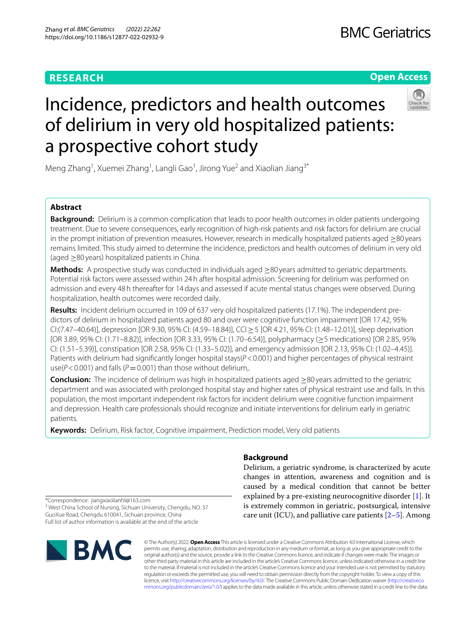# **RESEARCH**





# Incidence, predictors and health outcomes of delirium in very old hospitalized patients: a prospective cohort study

Meng Zhang<sup>1</sup>, Xuemei Zhang<sup>1</sup>, Langli Gao<sup>1</sup>, Jirong Yue<sup>2</sup> and Xiaolian Jiang<sup>3\*</sup>

# **Abstract**

**Background:** Delirium is a common complication that leads to poor health outcomes in older patients undergoing treatment. Due to severe consequences, early recognition of high-risk patients and risk factors for delirium are crucial in the prompt initiation of prevention measures. However, research in medically hospitalized patients aged ≥80 years remains limited. This study aimed to determine the incidence, predictors and health outcomes of delirium in very old (aged ≥80 years) hospitalized patients in China.

**Methods:** A prospective study was conducted in individuals aged ≥80 years admitted to geriatric departments. Potential risk factors were assessed within 24h after hospital admission. Screening for delirium was performed on admission and every 48h thereafter for 14days and assessed if acute mental status changes were observed. During hospitalization, health outcomes were recorded daily.

**Results:** Incident delirium occurred in 109 of 637 very old hospitalized patients (17.1%). The independent predictors of delirium in hospitalized patients aged 80 and over were cognitive function impairment [OR 17.42, 95% CI:(7.47–40.64)], depression [OR 9.30, 95% CI: (4.59–18.84)], CCI≥5 [OR 4.21, 95% CI: (1.48–12.01)], sleep deprivation [OR 3.89, 95% CI: (1.71–8.82)], infection [OR 3.33, 95% CI: (1.70–6.54)], polypharmacy (≥5 medications) [OR 2.85, 95% CI: (1.51–5.39)], constipation [OR 2.58, 95% CI: (1.33–5.02)], and emergency admission [OR 2.13, 95% CI: (1.02–4.45)]. Patients with delirium had significantly longer hospital stays( $P < 0.001$ ) and higher percentages of physical restraint use( $P$ <0.001) and falls ( $P$ =0.001) than those without delirium,.

**Conclusion:** The incidence of delirium was high in hospitalized patients aged ≥80 years admitted to the geriatric department and was associated with prolonged hospital stay and higher rates of physical restraint use and falls. In this population, the most important independent risk factors for incident delirium were cognitive function impairment and depression. Health care professionals should recognize and initiate interventions for delirium early in geriatric patients.

**Keywords:** Delirium, Risk factor, Cognitive impairment, Prediction model, Very old patients

# **Background**

Delirium, a geriatric syndrome, is characterized by acute changes in attention, awareness and cognition and is caused by a medical condition that cannot be better explained by a pre-existing neurocognitive disorder [[1\]](#page-8-0). It is extremely common in geriatric, postsurgical, intensive care unit (ICU), and palliative care patients  $[2-5]$  $[2-5]$ . Among

\*Correspondence: jiangxiaolianhl@163.com

<sup>3</sup> West China School of Nursing, Sichuan University, Chengdu, NO. 37 GuoXue Road, Chengdu 610041, Sichuan province, China Full list of author information is available at the end of the article



© The Author(s) 2022. **Open Access** This article is licensed under a Creative Commons Attribution 4.0 International License, which permits use, sharing, adaptation, distribution and reproduction in any medium or format, as long as you give appropriate credit to the original author(s) and the source, provide a link to the Creative Commons licence, and indicate if changes were made. The images or other third party material in this article are included in the article's Creative Commons licence, unless indicated otherwise in a credit line to the material. If material is not included in the article's Creative Commons licence and your intended use is not permitted by statutory regulation or exceeds the permitted use, you will need to obtain permission directly from the copyright holder. To view a copy of this licence, visit [http://creativecommons.org/licenses/by/4.0/.](http://creativecommons.org/licenses/by/4.0/) The Creative Commons Public Domain Dedication waiver ([http://creativeco](http://creativecommons.org/publicdomain/zero/1.0/) [mmons.org/publicdomain/zero/1.0/](http://creativecommons.org/publicdomain/zero/1.0/)) applies to the data made available in this article, unless otherwise stated in a credit line to the data.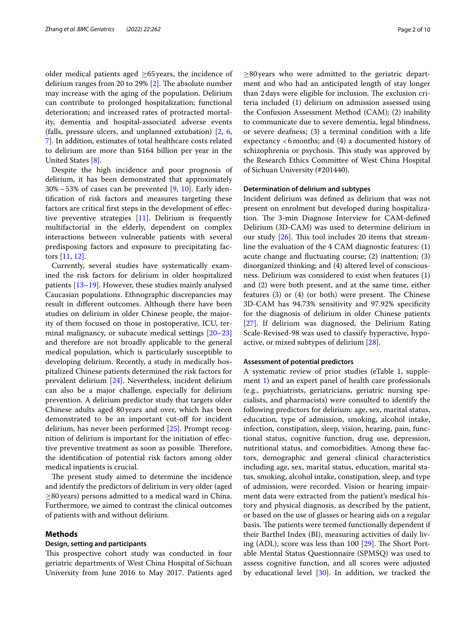older medical patients aged  $\geq$ 65 years, the incidence of delirium ranges from 20 to 29%  $[2]$  $[2]$ . The absolute number may increase with the aging of the population. Delirium can contribute to prolonged hospitalization; functional deterioration; and increased rates of protracted mortality, dementia and hospital-associated adverse events (falls, pressure ulcers, and unplanned extubation) [\[2](#page-8-1), [6](#page-8-3), [7\]](#page-8-4). In addition, estimates of total healthcare costs related to delirium are more than \$164 billion per year in the United States [[8\]](#page-8-5).

Despite the high incidence and poor prognosis of delirium, it has been demonstrated that approximately  $30\% \sim 53\%$  of cases can be prevented [\[9,](#page-8-6) [10](#page-8-7)]. Early identifcation of risk factors and measures targeting these factors are critical frst steps in the development of efective preventive strategies [\[11\]](#page-8-8). Delirium is frequently multifactorial in the elderly, dependent on complex interactions between vulnerable patients with several predisposing factors and exposure to precipitating factors [\[11,](#page-8-8) [12](#page-8-9)].

Currently, several studies have systematically examined the risk factors for delirium in older hospitalized patients [\[13–](#page-8-10)[19\]](#page-8-11). However, these studies mainly analysed Caucasian populations. Ethnographic discrepancies may result in diferent outcomes. Although there have been studies on delirium in older Chinese people, the majority of them focused on those in postoperative, ICU, terminal malignancy, or subacute medical settings [[20–](#page-8-12)[23](#page-9-0)] and therefore are not broadly applicable to the general medical population, which is particularly susceptible to developing delirium. Recently, a study in medically hospitalized Chinese patients determined the risk factors for prevalent delirium [[24](#page-9-1)]. Nevertheless, incident delirium can also be a major challenge, especially for delirium prevention. A delirium predictor study that targets older Chinese adults aged 80years and over, which has been demonstrated to be an important cut-of for incident delirium, has never been performed [\[25\]](#page-9-2). Prompt recognition of delirium is important for the initiation of efective preventive treatment as soon as possible. Therefore, the identifcation of potential risk factors among older medical inpatients is crucial.

The present study aimed to determine the incidence and identify the predictors of delirium in very older (aged  $\geq$ 80 years) persons admitted to a medical ward in China. Furthermore, we aimed to contrast the clinical outcomes of patients with and without delirium.

## **Methods**

# **Design, setting and participants**

This prospective cohort study was conducted in four geriatric departments of West China Hospital of Sichuan University from June 2016 to May 2017. Patients aged

 $\geq$ 80 years who were admitted to the geriatric department and who had an anticipated length of stay longer than 2 days were eligible for inclusion. The exclusion criteria included (1) delirium on admission assessed using the Confusion Assessment Method (CAM); (2) inability to communicate due to severe dementia, legal blindness, or severe deafness; (3) a terminal condition with a life expectancy <6months; and (4) a documented history of schizophrenia or psychosis. This study was approved by the Research Ethics Committee of West China Hospital of Sichuan University (#201440).

# **Determination of delirium and subtypes**

Incident delirium was defned as delirium that was not present on enrolment but developed during hospitalization. The 3-min Diagnose Interview for CAM-defined Delirium (3D-CAM) was used to determine delirium in our study  $[26]$  $[26]$ . This tool includes 20 items that streamline the evaluation of the 4 CAM diagnostic features: (1) acute change and fuctuating course; (2) inattention; (3) disorganized thinking; and (4) altered level of consciousness. Delirium was considered to exist when features (1) and (2) were both present, and at the same time, either features  $(3)$  or  $(4)$  (or both) were present. The Chinese 3D-CAM has 94.73% sensitivity and 97.92% specifcity for the diagnosis of delirium in older Chinese patients [[27\]](#page-9-4). If delirium was diagnosed, the Delirium Rating Scale-Revised-98 was used to classify hyperactive, hypoactive, or mixed subtypes of delirium [\[28\]](#page-9-5).

## **Assessment of potential predictors**

A systematic review of prior studies (eTable 1, supplement [1\)](#page-8-13) and an expert panel of health care professionals (e.g., psychiatrists, geriatricians, geriatric nursing specialists, and pharmacists) were consulted to identify the following predictors for delirium: age, sex, marital status, education, type of admission, smoking, alcohol intake, infection, constipation, sleep, vision, hearing, pain, functional status, cognitive function, drug use, depression, nutritional status, and comorbidities. Among these factors, demographic and general clinical characteristics including age, sex, marital status, education, marital status, smoking, alcohol intake, constipation, sleep, and type of admission, were recorded. Vision or hearing impairment data were extracted from the patient's medical history and physical diagnosis, as described by the patient, or based on the use of glasses or hearing aids on a regular basis. The patients were termed functionally dependent if their Barthel Index (BI), measuring activities of daily living (ADL), score was less than  $100$   $[29]$  $[29]$ . The Short Portable Mental Status Questionnaire (SPMSQ) was used to assess cognitive function, and all scores were adjusted by educational level  $[30]$  $[30]$  $[30]$ . In addition, we tracked the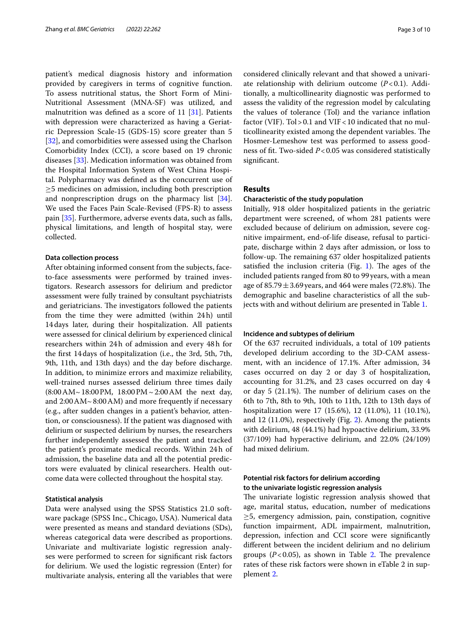patient's medical diagnosis history and information provided by caregivers in terms of cognitive function. To assess nutritional status, the Short Form of Mini-Nutritional Assessment (MNA-SF) was utilized, and malnutrition was defned as a score of 11 [[31\]](#page-9-8). Patients with depression were characterized as having a Geriatric Depression Scale-15 (GDS-15) score greater than 5 [[32\]](#page-9-9), and comorbidities were assessed using the Charlson Comorbidity Index (CCI), a score based on 19 chronic diseases [\[33](#page-9-10)]. Medication information was obtained from the Hospital Information System of West China Hospital. Polypharmacy was defned as the concurrent use of ≥5 medicines on admission, including both prescription and nonprescription drugs on the pharmacy list [\[34](#page-9-11)]. We used the Faces Pain Scale-Revised (FPS-R) to assess pain [\[35](#page-9-12)]. Furthermore, adverse events data, such as falls, physical limitations, and length of hospital stay, were collected.

## **Data collection process**

After obtaining informed consent from the subjects, faceto-face assessments were performed by trained investigators. Research assessors for delirium and predictor assessment were fully trained by consultant psychiatrists and geriatricians. The investigators followed the patients from the time they were admitted (within 24h) until 14days later, during their hospitalization. All patients were assessed for clinical delirium by experienced clinical researchers within 24h of admission and every 48h for the frst 14days of hospitalization (i.e., the 3rd, 5th, 7th, 9th, 11th, and 13th days) and the day before discharge. In addition, to minimize errors and maximize reliability, well-trained nurses assessed delirium three times daily (8:00AM~18:00PM, 18:00PM~2:00AM the next day, and 2:00AM~8:00AM) and more frequently if necessary (e.g., after sudden changes in a patient's behavior, attention, or consciousness). If the patient was diagnosed with delirium or suspected delirium by nurses, the researchers further independently assessed the patient and tracked the patient's proximate medical records. Within 24h of admission, the baseline data and all the potential predictors were evaluated by clinical researchers. Health outcome data were collected throughout the hospital stay.

## **Statistical analysis**

Data were analysed using the SPSS Statistics 21.0 software package (SPSS Inc., Chicago, USA). Numerical data were presented as means and standard deviations (SDs), whereas categorical data were described as proportions. Univariate and multivariate logistic regression analyses were performed to screen for signifcant risk factors for delirium. We used the logistic regression (Enter) for multivariate analysis, entering all the variables that were considered clinically relevant and that showed a univariate relationship with delirium outcome  $(P<0.1)$ . Additionally, a multicollinearity diagnostic was performed to assess the validity of the regression model by calculating the values of tolerance (Tol) and the variance infation factor (VIF). Tol > 0.1 and VIF < 10 indicated that no multicollinearity existed among the dependent variables. The Hosmer-Lemeshow test was performed to assess goodness of ft. Two-sided *P*<0.05 was considered statistically signifcant.

# **Results**

# **Characteristic of the study population**

Initially, 918 older hospitalized patients in the geriatric department were screened, of whom 281 patients were excluded because of delirium on admission, severe cognitive impairment, end-of-life disease, refusal to participate, discharge within 2 days after admission, or loss to follow-up. The remaining 637 older hospitalized patients satisfied the inclusion criteria (Fig.  $1$ ). The ages of the included patients ranged from 80 to 99years, with a mean age of  $85.79 \pm 3.69$  years, and 464 were males (72.8%). The demographic and baseline characteristics of all the subjects with and without delirium are presented in Table [1.](#page-4-0)

## **Incidence and subtypes of delirium**

Of the 637 recruited individuals, a total of 109 patients developed delirium according to the 3D-CAM assessment, with an incidence of 17.1%. After admission, 34 cases occurred on day 2 or day 3 of hospitalization, accounting for 31.2%, and 23 cases occurred on day 4 or day  $5$  (21.1%). The number of delirium cases on the 6th to 7th, 8th to 9th, 10th to 11th, 12th to 13th days of hospitalization were 17 (15.6%), 12 (11.0%), 11 (10.1%), and 12 (11.0%), respectively (Fig. [2](#page-5-0)). Among the patients with delirium, 48 (44.1%) had hypoactive delirium, 33.9% (37/109) had hyperactive delirium, and 22.0% (24/109) had mixed delirium.

# **Potential risk factors for delirium according to the univariate logistic regression analysis**

The univariate logistic regression analysis showed that age, marital status, education, number of medications ≥5, emergency admission, pain, constipation, cognitive function impairment, ADL impairment, malnutrition, depression, infection and CCI score were signifcantly diferent between the incident delirium and no delirium groups  $(P<0.05)$ , as shown in Table [2](#page-6-0). The prevalence rates of these risk factors were shown in eTable 2 in supplement [2.](#page-8-14)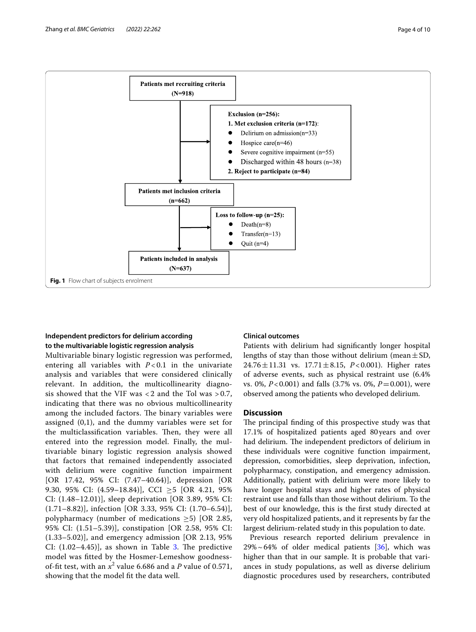

# <span id="page-3-0"></span>**Independent predictors for delirium according to the multivariable logistic regression analysis**

Multivariable binary logistic regression was performed, entering all variables with  $P < 0.1$  in the univariate analysis and variables that were considered clinically relevant. In addition, the multicollinearity diagnosis showed that the VIF was  $<$  2 and the Tol was  $>$  0.7, indicating that there was no obvious multicollinearity among the included factors. The binary variables were assigned (0,1), and the dummy variables were set for the multiclassification variables. Then, they were all entered into the regression model. Finally, the multivariable binary logistic regression analysis showed that factors that remained independently associated with delirium were cognitive function impairment [OR 17.42, 95% CI: (7.47–40.64)], depression [OR 9.30, 95% CI:  $(4.59-18.84)$ , CCI  $\geq 5$  [OR 4.21, 95%] CI: (1.48–12.01)], sleep deprivation [OR 3.89, 95% CI: (1.71–8.82)], infection [OR 3.33, 95% CI: (1.70–6.54)], polypharmacy (number of medications  $\geq$ 5) [OR 2.85, 95% CI: (1.51–5.39)], constipation [OR 2.58, 95% CI: (1.33–5.02)], and emergency admission [OR 2.13, 95% CI:  $(1.02-4.45)$ ], as shown in Table [3.](#page-7-0) The predictive model was ftted by the Hosmer-Lemeshow goodnessof-fit test, with an  $x^2$  value 6.686 and a P value of 0.571, showing that the model ft the data well.

# **Clinical outcomes**

Patients with delirium had signifcantly longer hospital lengths of stay than those without delirium (mean  $\pm$  SD, 24.76±11.31 vs. 17.71±8.15, *P*<0.001). Higher rates of adverse events, such as physical restraint use (6.4% vs. 0%, *P*<0.001) and falls (3.7% vs. 0%, *P*=0.001), were observed among the patients who developed delirium.

# **Discussion**

The principal finding of this prospective study was that 17.1% of hospitalized patients aged 80years and over had delirium. The independent predictors of delirium in these individuals were cognitive function impairment, depression, comorbidities, sleep deprivation, infection, polypharmacy, constipation, and emergency admission. Additionally, patient with delirium were more likely to have longer hospital stays and higher rates of physical restraint use and falls than those without delirium. To the best of our knowledge, this is the frst study directed at very old hospitalized patients, and it represents by far the largest delirium-related study in this population to date.

Previous research reported delirium prevalence in  $29\% \sim 64\%$  of older medical patients [[36\]](#page-9-13), which was higher than that in our sample. It is probable that variances in study populations, as well as diverse delirium diagnostic procedures used by researchers, contributed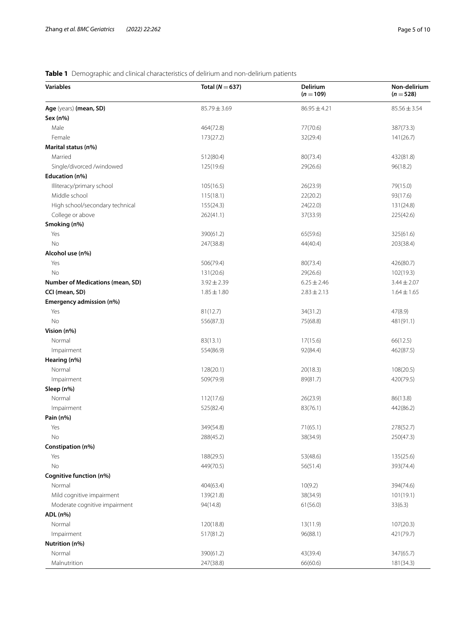# <span id="page-4-0"></span>**Table 1** Demographic and clinical characteristics of delirium and non-delirium patients

| <b>Variables</b>                 | Total ( $N = 637$ ) | Delirium<br>$(n = 109)$ | Non-delirium<br>$(n = 528)$ |
|----------------------------------|---------------------|-------------------------|-----------------------------|
| Age (years) (mean, SD)           | $85.79 \pm 3.69$    | $86.95 \pm 4.21$        | $85.56 \pm 3.54$            |
| Sex (n%)                         |                     |                         |                             |
| Male                             | 464(72.8)           | 77(70.6)                | 387(73.3)                   |
| Female                           | 173(27.2)           | 32(29.4)                | 141(26.7)                   |
| Marital status (n%)              |                     |                         |                             |
| Married                          | 512(80.4)           | 80(73.4)                | 432(81.8)                   |
| Single/divorced /windowed        | 125(19.6)           | 29(26.6)                | 96(18.2)                    |
| Education (n%)                   |                     |                         |                             |
| Illiteracy/primary school        | 105(16.5)           | 26(23.9)                | 79(15.0)                    |
| Middle school                    | 115(18.1)           | 22(20.2)                | 93(17.6)                    |
| High school/secondary technical  | 155(24.3)           | 24(22.0)                | 131(24.8)                   |
| College or above                 | 262(41.1)           | 37(33.9)                | 225(42.6)                   |
| Smoking (n%)                     |                     |                         |                             |
| Yes                              | 390(61.2)           | 65(59.6)                | 325(61.6)                   |
| No                               | 247(38.8)           | 44(40.4)                | 203(38.4)                   |
| Alcohol use (n%)                 |                     |                         |                             |
| Yes                              | 506(79.4)           | 80(73.4)                | 426(80.7)                   |
| No                               | 131(20.6)           | 29(26.6)                | 102(19.3)                   |
| Number of Medications (mean, SD) | $3.92 \pm 2.39$     | $6.25 \pm 2.46$         | $3.44 \pm 2.07$             |
| CCI (mean, SD)                   | $1.85 \pm 1.80$     | $2.83 \pm 2.13$         | $1.64 \pm 1.65$             |
| Emergency admission (n%)         |                     |                         |                             |
| Yes                              | 81(12.7)            | 34(31.2)                | 47(8.9)                     |
| No                               | 556(87.3)           | 75(68.8)                | 481(91.1)                   |
| Vision (n%)                      |                     |                         |                             |
| Normal                           | 83(13.1)            | 17(15.6)                | 66(12.5)                    |
| Impairment                       | 554(86.9)           | 92(84.4)                | 462(87.5)                   |
| Hearing (n%)                     |                     |                         |                             |
| Normal                           | 128(20.1)           | 20(18.3)                | 108(20.5)                   |
| Impairment                       | 509(79.9)           | 89(81.7)                | 420(79.5)                   |
| Sleep (n%)                       |                     |                         |                             |
| Normal                           | 112(17.6)           | 26(23.9)                | 86(13.8)                    |
| Impairment                       | 525(82.4)           | 83(76.1)                | 442(86.2)                   |
| Pain (n%)                        |                     |                         |                             |
| Yes                              | 349(54.8)           | 71(65.1)                | 278(52.7)                   |
| No                               | 288(45.2)           | 38(34.9)                | 250(47.3)                   |
| Constipation (n%)                |                     |                         |                             |
| Yes                              | 188(29.5)           | 53(48.6)                | 135(25.6)                   |
| No                               | 449(70.5)           | 56(51.4)                | 393(74.4)                   |
| Cognitive function (n%)          |                     |                         |                             |
| Normal                           | 404(63.4)           | 10(9.2)                 | 394(74.6)                   |
| Mild cognitive impairment        | 139(21.8)           | 38(34.9)                | 101(19.1)                   |
| Moderate cognitive impairment    | 94(14.8)            | 61(56.0)                | 33(6.3)                     |
| ADL (n%)                         |                     |                         |                             |
| Normal                           | 120(18.8)           | 13(11.9)                | 107(20.3)                   |
| Impairment                       | 517(81.2)           | 96(88.1)                | 421(79.7)                   |
| Nutrition (n%)                   |                     |                         |                             |
| Normal                           | 390(61.2)           | 43(39.4)                | 347(65.7)                   |
| Malnutrition                     | 247(38.8)           | 66(60.6)                | 181(34.3)                   |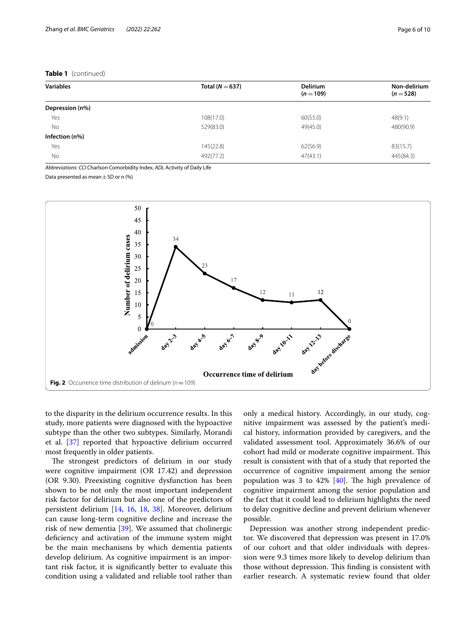# **Table 1** (continued)

| <b>Variables</b> | Total ( $N = 637$ ) | <b>Delirium</b><br>$(n = 109)$ | Non-delirium<br>$(n=528)$ |
|------------------|---------------------|--------------------------------|---------------------------|
| Depression (n%)  |                     |                                |                           |
| Yes              | 108(17.0)           | 60(55.0)                       | 48(9.1)                   |
| <b>No</b>        | 529(83.0)           | 49(45.0)                       | 480(90.9)                 |
| Infection (n%)   |                     |                                |                           |
| Yes              | 145(22.8)           | 62(56.9)                       | 83(15.7)                  |
| No               | 492(77.2)           | 47(43.1)                       | 445(84.3)                 |

*Abbreviations*: *CCI* Charlson Comorbidity Index, *ADL* Activity of Daily Life

Data presented as mean  $\pm$  SD or n (%)



<span id="page-5-0"></span>to the disparity in the delirium occurrence results. In this study, more patients were diagnosed with the hypoactive subtype than the other two subtypes. Similarly, Morandi et al. [\[37](#page-9-14)] reported that hypoactive delirium occurred most frequently in older patients.

The strongest predictors of delirium in our study were cognitive impairment (OR 17.42) and depression (OR 9.30). Preexisting cognitive dysfunction has been shown to be not only the most important independent risk factor for delirium but also one of the predictors of persistent delirium [[14,](#page-8-15) [16,](#page-8-16) [18,](#page-8-17) [38\]](#page-9-15). Moreover, delirium can cause long-term cognitive decline and increase the risk of new dementia [\[39](#page-9-16)]. We assumed that cholinergic defciency and activation of the immune system might be the main mechanisms by which dementia patients develop delirium. As cognitive impairment is an important risk factor, it is signifcantly better to evaluate this condition using a validated and reliable tool rather than only a medical history. Accordingly, in our study, cognitive impairment was assessed by the patient's medical history, information provided by caregivers, and the validated assessment tool. Approximately 36.6% of our cohort had mild or moderate cognitive impairment. This result is consistent with that of a study that reported the occurrence of cognitive impairment among the senior population was 3 to 42%  $[40]$  $[40]$ . The high prevalence of cognitive impairment among the senior population and the fact that it could lead to delirium highlights the need to delay cognitive decline and prevent delirium whenever possible.

Depression was another strong independent predictor. We discovered that depression was present in 17.0% of our cohort and that older individuals with depression were 9.3 times more likely to develop delirium than those without depression. This finding is consistent with earlier research. A systematic review found that older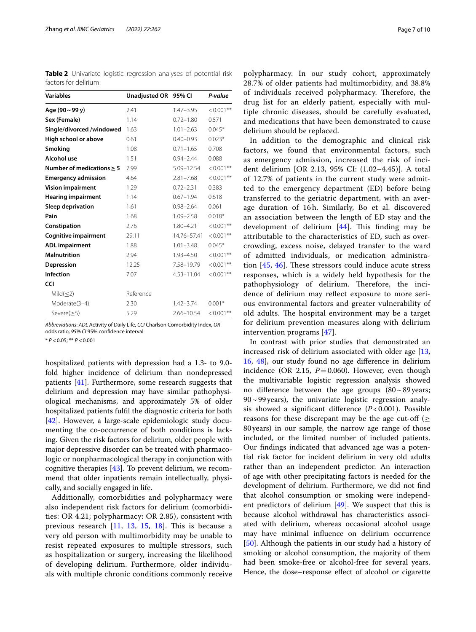<span id="page-6-0"></span>**Table 2** Univariate logistic regression analyses of potential risk factors for delirium

| <b>Variables</b>               | Unadjusted OR 95% Cl |                | P-value      |
|--------------------------------|----------------------|----------------|--------------|
| Age (90~99 y)                  | 2.41                 | $1.47 - 3.95$  | $< 0.001$ ** |
| Sex (Female)                   | 1.14                 | $0.72 - 1.80$  | 0.571        |
| Single/divorced /windowed      | 1.63                 | $1.01 - 2.63$  | $0.045*$     |
| High school or above           | 0.61                 | $0.40 - 0.93$  | $0.023*$     |
| Smoking                        | 1.08                 | $0.71 - 1.65$  | 0.708        |
| Alcohol use                    | 1.51                 | $0.94 - 2.44$  | 0.088        |
| Number of medications $\geq$ 5 | 7.99                 | 5.09-12.54     | $< 0.001$ ** |
| <b>Emergency admission</b>     | 4.64                 | $2.81 - 7.68$  | $< 0.001$ ** |
| <b>Vision impairment</b>       | 1.29                 | $0.72 - 2.31$  | 0.383        |
| <b>Hearing impairment</b>      | 1.14                 | $0.67 - 1.94$  | 0.618        |
| Sleep deprivation              | 1.61                 | $0.98 - 2.64$  | 0.061        |
| Pain                           | 1.68                 | $1.09 - 2.58$  | $0.018*$     |
| Constipation                   | 2.76                 | $1.80 - 4.21$  | $< 0.001$ ** |
| <b>Cognitive impairment</b>    | 29.11                | 14.76-57.41    | $< 0.001$ ** |
| <b>ADL</b> impairment          | 1.88                 | $1.01 - 3.48$  | $0.045*$     |
| <b>Malnutrition</b>            | 2.94                 | $1.93 - 4.50$  | $< 0.001$ ** |
| Depression                     | 12.25                | 7.58-19.79     | $< 0.001$ ** |
| <b>Infection</b>               | 7.07                 | $4.53 - 11.04$ | $< 0.001$ ** |
| <b>CCI</b>                     |                      |                |              |
| Mild $(\leq 2)$                | Reference            |                |              |
| Moderate(3-4)                  | 2.30                 | $1.42 - 3.74$  | $0.001*$     |
| Severe $(\geq 5)$              | 5.29                 | 2.66-10.54     | $< 0.001**$  |

*Abbreviations*: *ADL* Activity of Daily Life, *CCI* Charlson Comorbidity Index, *OR* odds ratio, *95% CI* 95% confdence interval

\* *P* <0.05; \*\* *P* <0.001

hospitalized patients with depression had a 1.3- to 9.0 fold higher incidence of delirium than nondepressed patients [\[41\]](#page-9-18). Furthermore, some research suggests that delirium and depression may have similar pathophysiological mechanisms, and approximately 5% of older hospitalized patients fulfl the diagnostic criteria for both [[42\]](#page-9-19). However, a large-scale epidemiologic study documenting the co-occurrence of both conditions is lacking. Given the risk factors for delirium, older people with major depressive disorder can be treated with pharmacologic or nonpharmacological therapy in conjunction with cognitive therapies [[43](#page-9-20)]. To prevent delirium, we recommend that older inpatients remain intellectually, physically, and socially engaged in life.

Additionally, comorbidities and polypharmacy were also independent risk factors for delirium (comorbidities: OR 4.21; polypharmacy: OR 2.85), consistent with previous research  $[11, 13, 15, 18]$  $[11, 13, 15, 18]$  $[11, 13, 15, 18]$  $[11, 13, 15, 18]$  $[11, 13, 15, 18]$  $[11, 13, 15, 18]$  $[11, 13, 15, 18]$  $[11, 13, 15, 18]$ . This is because a very old person with multimorbidity may be unable to resist repeated exposures to multiple stressors, such as hospitalization or surgery, increasing the likelihood of developing delirium. Furthermore, older individuals with multiple chronic conditions commonly receive polypharmacy. In our study cohort, approximately 28.7% of older patients had multimorbidity, and 38.8% of individuals received polypharmacy. Therefore, the drug list for an elderly patient, especially with multiple chronic diseases, should be carefully evaluated, and medications that have been demonstrated to cause delirium should be replaced.

In addition to the demographic and clinical risk factors, we found that environmental factors, such as emergency admission, increased the risk of incident delirium [OR 2.13, 95% CI: (1.02–4.45)]. A total of 12.7% of patients in the current study were admitted to the emergency department (ED) before being transferred to the geriatric department, with an average duration of 16h. Similarly, Bo et al. discovered an association between the length of ED stay and the development of delirium  $[44]$  $[44]$ . This finding may be attributable to the characteristics of ED, such as overcrowding, excess noise, delayed transfer to the ward of admitted individuals, or medication administration  $[45, 46]$  $[45, 46]$  $[45, 46]$  $[45, 46]$ . These stressors could induce acute stress responses, which is a widely held hypothesis for the pathophysiology of delirium. Therefore, the incidence of delirium may refect exposure to more serious environmental factors and greater vulnerability of old adults. The hospital environment may be a target for delirium prevention measures along with delirium intervention programs [\[47\]](#page-9-24).

In contrast with prior studies that demonstrated an increased risk of delirium associated with older age [[13](#page-8-10), [16,](#page-8-16) [48\]](#page-9-25), our study found no age diference in delirium incidence (OR 2.15,  $P=0.060$ ). However, even though the multivariable logistic regression analysis showed no diference between the age groups (80~89years;  $90 \sim 99$  years), the univariate logistic regression analysis showed a signifcant diference (*P*<0.001). Possible reasons for these discrepant may be the age cut-off ( $\geq$ 80years) in our sample, the narrow age range of those included, or the limited number of included patients. Our fndings indicated that advanced age was a potential risk factor for incident delirium in very old adults rather than an independent predictor. An interaction of age with other precipitating factors is needed for the development of delirium. Furthermore, we did not fnd that alcohol consumption or smoking were independent predictors of delirium  $[49]$  $[49]$ . We suspect that this is because alcohol withdrawal has characteristics associated with delirium, whereas occasional alcohol usage may have minimal infuence on delirium occurrence [[50\]](#page-9-27). Although the patients in our study had a history of smoking or alcohol consumption, the majority of them had been smoke-free or alcohol-free for several years. Hence, the dose–response effect of alcohol or cigarette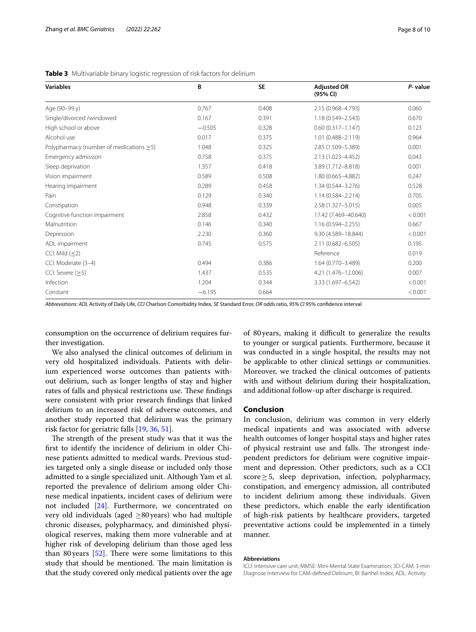<span id="page-7-0"></span>

| <b>Variables</b>                              | B        | <b>SE</b> | <b>Adjusted OR</b><br>(95% CI) | P-value |
|-----------------------------------------------|----------|-----------|--------------------------------|---------|
| Age (90-99 y)                                 | 0.767    | 0.408     | 2.15 (0.968-4.793)             | 0.060   |
| Single/divorced /windowed                     | 0.167    | 0.391     | 1.18 (0.549-2.543)             | 0.670   |
| High school or above                          | $-0.505$ | 0.328     | $0.60(0.317 - 1.147)$          | 0.123   |
| Alcohol use                                   | 0.017    | 0.375     | $1.01(0.488 - 2.119)$          | 0.964   |
| Polypharmacy (number of medications $\geq$ 5) | 1.048    | 0.325     | 2.85 (1.509-5.389)             | 0.001   |
| Emergency admission                           | 0.758    | 0.375     | 2.13 (1.023-4.452)             | 0.043   |
| Sleep deprivation                             | 1.357    | 0.418     | 3.89 (1.712-8.818)             | 0.001   |
| Vision impairment                             | 0.589    | 0.508     | 1.80 (0.665-4.882)             | 0.247   |
| Hearing impairment                            | 0.289    | 0.458     | 1.34 (0.544-3.276)             | 0.528   |
| Pain                                          | 0.129    | 0.340     | 1.14 (0.584-2.214)             | 0.705   |
| Constipation                                  | 0.948    | 0.339     | 2.58 (1.327-5.015)             | 0.005   |
| Cognitive function impairment                 | 2.858    | 0.432     | 17.42 (7.469-40.640)           | < 0.001 |
| Malnutrition                                  | 0.146    | 0.340     | 1.16 (0.594-2.255)             | 0.667   |
| Depression                                    | 2.230    | 0.360     | 9.30 (4.589-18.844)            | < 0.001 |
| ADL impairment                                | 0.745    | 0.575     | 2.11 (0.682-6.505)             | 0.195   |
| CCI: Mild (< 2)                               |          |           | Reference                      | 0.019   |
| CCI: Moderate (3-4)                           | 0.494    | 0.386     | 1.64 (0.770-3.489)             | 0.200   |
| $CCl:$ Severe $(>5)$                          | 1.437    | 0.535     | 4.21 (1.476-12.006)            | 0.007   |
| Infection                                     | 1.204    | 0.344     | 3.33 (1.697-6.542)             | < 0.001 |
| Constant                                      | $-6.195$ | 0.664     |                                | < 0.001 |
|                                               |          |           |                                |         |

*Abbreviations*: *ADL* Activity of Daily Life, *CCI* Charlson Comorbidity Index, *SE* Standard Error, *OR* odds ratio, *95% CI* 95% confdence interval

consumption on the occurrence of delirium requires further investigation.

We also analysed the clinical outcomes of delirium in very old hospitalized individuals. Patients with delirium experienced worse outcomes than patients without delirium, such as longer lengths of stay and higher rates of falls and physical restrictions use. These findings were consistent with prior research fndings that linked delirium to an increased risk of adverse outcomes, and another study reported that delirium was the primary risk factor for geriatric falls [\[19,](#page-8-11) [36](#page-9-13), [51\]](#page-9-28).

The strength of the present study was that it was the frst to identify the incidence of delirium in older Chinese patients admitted to medical wards. Previous studies targeted only a single disease or included only those admitted to a single specialized unit. Although Yam et al. reported the prevalence of delirium among older Chinese medical inpatients, incident cases of delirium were not included [\[24](#page-9-1)]. Furthermore, we concentrated on very old individuals (aged  $\geq 80$  years) who had multiple chronic diseases, polypharmacy, and diminished physiological reserves, making them more vulnerable and at higher risk of developing delirium than those aged less than 80 years  $[52]$  $[52]$  $[52]$ . There were some limitations to this study that should be mentioned. The main limitation is that the study covered only medical patients over the age

of 80 years, making it difficult to generalize the results to younger or surgical patients. Furthermore, because it was conducted in a single hospital, the results may not be applicable to other clinical settings or communities. Moreover, we tracked the clinical outcomes of patients with and without delirium during their hospitalization, and additional follow-up after discharge is required.

# **Conclusion**

In conclusion, delirium was common in very elderly medical inpatients and was associated with adverse health outcomes of longer hospital stays and higher rates of physical restraint use and falls. The strongest independent predictors for delirium were cognitive impairment and depression. Other predictors, such as a CCI score $\geq$ 5, sleep deprivation, infection, polypharmacy, constipation, and emergency admission, all contributed to incident delirium among these individuals. Given these predictors, which enable the early identifcation of high-risk patients by healthcare providers, targeted preventative actions could be implemented in a timely manner.

## **Abbreviations**

ICU: Intensive care unit; MMSE: Mini-Mental State Examination; 3D-CAM: 3-min Diagnose Interview for CAM-defned Delirium; BI: Barthel Index; ADL: Activity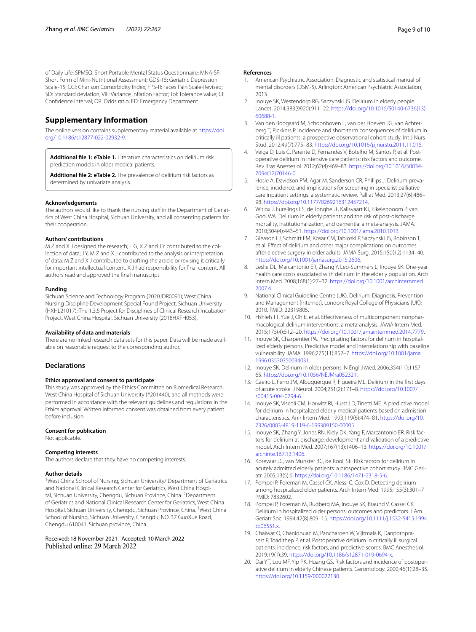of Daily Life; SPMSQ: Short Portable Mental Status Questionnaire; MNA-SF: Short Form of Mini-Nutritional Assessment; GDS-15: Geriatric Depression Scale-15; CCI: Charlson Comorbidity Index; FPS-R: Faces Pain Scale-Revised; SD: Standard deviation; VIF: Variance Infation Factor; Tol: Tolerance value; CI: Confdence interval; OR: Odds ratio; ED: Emergency Department.

# **Supplementary Information**

The online version contains supplementary material available at [https://doi.](https://doi.org/10.1186/s12877-022-02932-9) [org/10.1186/s12877-022-02932-9](https://doi.org/10.1186/s12877-022-02932-9).

<span id="page-8-14"></span><span id="page-8-13"></span>**Additional fle 1: eTable 1.** Literature characteristics on delirium risk prediction models in older medical patients.

**Additional fle 2: eTable 2.** The prevalence of delirium risk factors as determined by univariate analysis.

#### **Acknowledgements**

The authors would like to thank the nursing staff in the Department of Geriatrics of West China Hospital, Sichuan University, and all consenting patients for their cooperation.

#### **Authors' contributions**

M Z and X J designed the research; L G, X Z and J Y contributed to the collection of data; JY, M Z and X J contributed to the analysis or interpretation of data; M Z and X J contributed to drafting the article or revising it critically for important intellectual content. X J had responsibility for fnal content. All authors read and approved the fnal manuscript.

#### **Funding**

Sichuan Science and Technology Program (2020JDR0091); West China Nursing Discipline Development Special Found Project, Sichuan University (HXHL21017); The 1.3.5 Project for Disciplines of Clinical Research Incubation Project, West China Hospital, Sichuan University (2018HXFH053).

#### **Availability of data and materials**

There are no linked research data sets for this paper. Data will be made available on reasonable request to the corresponding author.

#### **Declarations**

# **Ethics approval and consent to participate**

This study was approved by the Ethics Committee on Biomedical Research, West China Hospital of Sichuan University (#201440), and all methods were performed in accordance with the relevant guidelines and regulations in the Ethics approval. Written informed consent was obtained from every patient before inclusion.

#### **Consent for publication**

Not applicable.

#### **Competing interests**

The authors declare that they have no competing interests.

## **Author details**

<sup>1</sup>West China School of Nursing, Sichuan University/ Department of Geriatrics and National Clinical Research Center for Geriatrics, West China Hospital, Sichuan University, Chengdu, Sichuan Province, China. <sup>2</sup>Department of Geriatrics and National Clinical Research Center for Geriatrics, West China Hospital, Sichuan University, Chengdu, Sichuan Province, China. <sup>3</sup>West China School of Nursing, Sichuan University, Chengdu, NO. 37 GuoXue Road, Chengdu 610041, Sichuan province, China.

Received: 18 November 2021 Accepted: 10 March 2022 Published online: 29 March 2022

#### **References**

- <span id="page-8-0"></span>1. American Psychiatric Association. Diagnostic and statistical manual of mental disorders (DSM-5). Arlington: American Psychiatric Association; 2013.
- <span id="page-8-1"></span>2. Inouye SK, Westendorp RG, Saczynski JS. Delirium in elderly people. Lancet. 2014;383(9920):911–22. [https://doi.org/10.1016/S0140-6736\(13\)](https://doi.org/10.1016/S0140-6736(13)60688-1) [60688-1.](https://doi.org/10.1016/S0140-6736(13)60688-1)
- 3. Van den Boogaard M, Schoonhoven L, van der Hoeven JG, van Achterberg T, Pickkers P. Incidence and short-term consequences of delirium in critically ill patients: a prospective observational cohort study. Int J Nurs Stud. 2012;49(7):775–83. [https://doi.org/10.1016/j.ijnurstu.2011.11.016.](https://doi.org/10.1016/j.ijnurstu.2011.11.016)
- 4. Veiga D, Luis C, Parente D, Fernandes V, Botelho M, Santos P, et al. Postoperative delirium in intensive care patients: risk factors and outcome. Rev Bras Anestesiol. 2012;62(4):469–83. [https://doi.org/10.1016/S0034-](https://doi.org/10.1016/S0034-7094(12)70146-0) [7094\(12\)70146-0.](https://doi.org/10.1016/S0034-7094(12)70146-0)
- <span id="page-8-2"></span>5. Hosie A, Davidson PM, Agar M, Sanderson CR, Phillips J. Delirium prevalence, incidence, and implications for screening in specialist palliative care inpatient settings: a systematic review. Palliat Med. 2013;27(6):486– 98. <https://doi.org/10.1177/0269216312457214>.
- <span id="page-8-3"></span>6. Witlox J, Eurelings LS, de Jonghe JF, Kalisvaart KJ, Eikelenboom P, van Gool WA. Delirium in elderly patients and the risk of post-discharge mortality, institutionalization, and dementia: a meta-analysis. JAMA. 2010;304(4):443–51. [https://doi.org/10.1001/jama.2010.1013.](https://doi.org/10.1001/jama.2010.1013)
- <span id="page-8-4"></span>7. Gleason LJ, Schmitt EM, Kosar CM, Tabloski P, Saczynski JS, Robinson T, et al. Efect of delirium and other major complications on outcomes after elective surgery in older adults. JAMA Surg. 2015;150(12):1134–40. [https://doi.org/10.1001/jamasurg.2015.2606.](https://doi.org/10.1001/jamasurg.2015.2606)
- <span id="page-8-5"></span>8. Leslie DL, Marcantonio ER, Zhang Y, Leo-Summers L, Inouye SK. One-year health care costs associated with delirium in the elderly population. Arch Intern Med. 2008;168(1):27–32. [https://doi.org/10.1001/archinternmed.](https://doi.org/10.1001/archinternmed.2007.4) [2007.4](https://doi.org/10.1001/archinternmed.2007.4).
- <span id="page-8-6"></span>9. National Clinical Guideline Centre (UK). Delirium: Diagnosis, Prevention and Management [Internet]. London: Royal College of Physicians (UK); 2010. PMID: 22319805.
- <span id="page-8-7"></span>10. Hshieh TT, Yue J, Oh E, et al. Efectiveness of multicomponent nonpharmacological delirium interventions: a meta-analysis. JAMA Intern Med. 2015;175(4):512–20. <https://doi.org/10.1001/jamainternmed.2014.7779>.
- <span id="page-8-8"></span>11. Inouye SK, Charpentier PA. Precipitating factors for delirium in hospitalized elderly persons. Predictive model and interrelationship with baseline vulnerability. JAMA. 1996;275(11):852–7. [https://doi.org/10.1001/jama.](https://doi.org/10.1001/jama.1996.03530350034031) [1996.03530350034031.](https://doi.org/10.1001/jama.1996.03530350034031)
- <span id="page-8-9"></span>12. Inouye SK. Delirium in older persons. N Engl J Med. 2006;354(11):1157– 65. <https://doi.org/10.1056/NEJMra052321>.
- <span id="page-8-10"></span>13. Caeiro L, Ferro JM, Albuquerque R, Figueira ML. Delirium in the frst days of acute stroke. J Neurol. 2004;251(2):171–8. [https://doi.org/10.1007/](https://doi.org/10.1007/s00415-004-0294-6) [s00415-004-0294-6.](https://doi.org/10.1007/s00415-004-0294-6)
- <span id="page-8-15"></span>14. Inouye SK, Viscoli CM, Horwitz RI, Hurst LD, Tinetti ME. A predictive model for delirium in hospitalized elderly medical patients based on admission characteristics. Ann Intern Med. 1993;119(6):474–81. [https://doi.org/10.](https://doi.org/10.7326/0003-4819-119-6-199309150-00005) [7326/0003-4819-119-6-199309150-00005](https://doi.org/10.7326/0003-4819-119-6-199309150-00005).
- <span id="page-8-18"></span>15. Inouye SK, Zhang Y, Jones RN, Kiely DK, Yang F, Marcantonio ER. Risk factors for delirium at discharge: development and validation of a predictive model. Arch Intern Med. 2007;167(13):1406–13. [https://doi.org/10.1001/](https://doi.org/10.1001/archinte.167.13.1406) [archinte.167.13.1406.](https://doi.org/10.1001/archinte.167.13.1406)
- <span id="page-8-16"></span>16. Korevaar JC, van Munster BC, de Rooij SE. Risk factors for delirium in acutely admitted elderly patients: a prospective cohort study. BMC Geriatr. 2005;13(5):6.<https://doi.org/10.1186/1471-2318-5-6>.
- 17. Pompei P, Foreman M, Cassel CK, Alessi C, Cox D. Detecting delirium among hospitalized older patients. Arch Intern Med. 1995;155(3):301–7 PMID: 7832602.
- <span id="page-8-17"></span>18. Pompei P, Foreman M, Rudberg MA, Inouye SK, Braund V, Cassel CK. Delirium in hospitalized older persons: outcomes and predictors. J Am Geriatr Soc. 1994;42(8):809–15. [https://doi.org/10.1111/j.1532-5415.1994.](https://doi.org/10.1111/j.1532-5415.1994.tb06551.x) [tb06551.x](https://doi.org/10.1111/j.1532-5415.1994.tb06551.x).
- <span id="page-8-11"></span>19. Chaiwat O, Chanidnuan M, Pancharoen W, Vijitmala K, Danpornprasert P, Toadithep P, et al. Postoperative delirium in critically ill surgical patients: incidence, risk factors, and predictive scores. BMC Anesthesiol. 2019;19(1):39. [https://doi.org/10.1186/s12871-019-0694-x.](https://doi.org/10.1186/s12871-019-0694-x)
- <span id="page-8-12"></span>20. Dai YT, Lou MF, Yip PK, Huang GS. Risk factors and incidence of postoperative delirium in elderly Chinese patients. Gerontology. 2000;46(1):28–35. [https://doi.org/10.1159/000022130.](https://doi.org/10.1159/000022130)